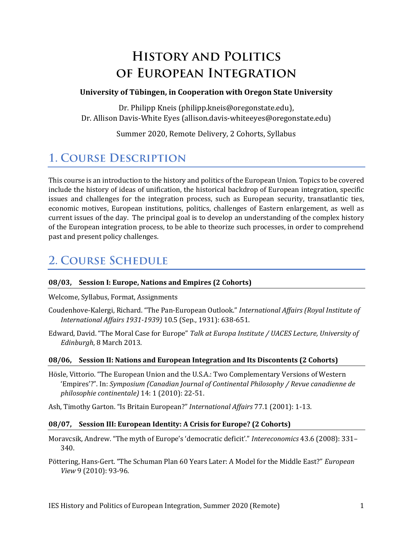# **HISTORY AND POLITICS** OF EUROPEAN INTEGRATION

#### **University of Tübingen, in Cooperation with Oregon State University**

Dr. Philipp Kneis (philipp.kneis@oregonstate.edu), Dr. Allison Davis-White Eyes (allison.davis-whiteeyes@oregonstate.edu)

Summer 2020, Remote Delivery, 2 Cohorts, Syllabus

## **1. COURSE DESCRIPTION**

This course is an introduction to the history and politics of the European Union. Topics to be covered include the history of ideas of unification, the historical backdrop of European integration, specific issues and challenges for the integration process, such as European security, transatlantic ties, economic motives, European institutions, politics, challenges of Eastern enlargement, as well as current issues of the day. The principal goal is to develop an understanding of the complex history of the European integration process, to be able to theorize such processes, in order to comprehend past and present policy challenges.

### **2. COURSE SCHEDULE**

#### **08/03, Session I: Europe, Nations and Empires (2 Cohorts)**

Welcome, Syllabus, Format, Assignments

- Coudenhove-Kalergi, Richard. "The Pan-European Outlook." *International Affairs (Royal Institute of International Affairs 1931-1939)* 10.5 (Sep., 1931): 638-651.
- Edward, David. "The Moral Case for Europe" *Talk at Europa Institute / UACES Lecture, University of Edinburgh*, 8 March 2013.

#### **08/06, Session II: Nations and European Integration and Its Discontents (2 Cohorts)**

Hösle, Vittorio. "The European Union and the U.S.A.: Two Complementary Versions of Western 'Empires'?". In: *Symposium (Canadian Journal of Continental Philosophy / Revue canadienne de philosophie continentale)* 14: 1 (2010): 22-51.

Ash, Timothy Garton. "Is Britain European?" *International Affairs* 77.1 (2001): 1-13.

#### **08/07, Session III: European Identity: A Crisis for Europe? (2 Cohorts)**

- Moravcsik, Andrew. "The myth of Europe's 'democratic deficit'." *Intereconomics* 43.6 (2008): 331– 340.
- Pöttering, Hans-Gert. "The Schuman Plan 60 Years Later: A Model for the Middle East?" *European View* 9 (2010): 93-96.